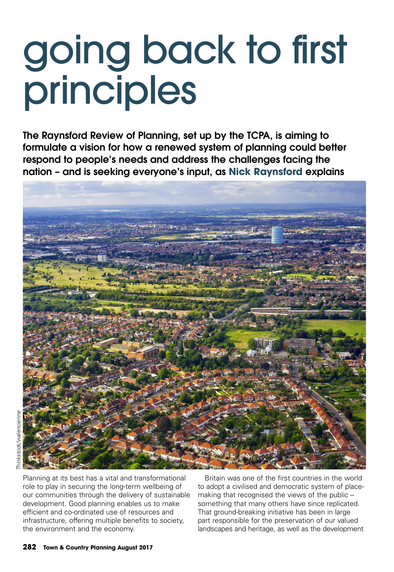## going back to first principles

**The Raynsford Review of Planning, set up by the TCPA, is aiming to formulate a vision for how a renewed system of planning could better respond to people's needs and address the challenges facing the nation – and is seeking everyone's input, as Nick Raynsford explains**



Planning at its best has a vital and transformational role to play in securing the long-term wellbeing of our communities through the delivery of sustainable development. Good planning enables us to make efficient and co-ordinated use of resources and infrastructure, offering multiple benefits to society, the environment and the economy.

Britain was one of the first countries in the world to adopt a civilised and democratic system of placemaking that recognised the views of the public – something that many others have since replicated. That ground-breaking initiative has been in large part responsible for the preservation of our valued landscapes and heritage, as well as the development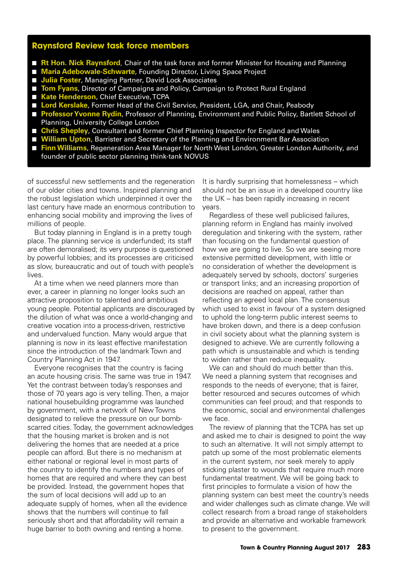## **Raynsford Review task force members**

- **Rt Hon. Nick Raynsford**, Chair of the task force and former Minister for Housing and Planning
- **Maria Adebowale-Schwarte**, Founding Director, Living Space Project
- **Julia Foster**, Managing Partner, David Lock Associates
- **Tom Fyans**, Director of Campaigns and Policy, Campaign to Protect Rural England
- Kate Henderson, Chief Executive, TCPA
- **Lord Kerslake**, Former Head of the Civil Service, President, LGA, and Chair, Peabody
- **Professor Yvonne Rydin**, Professor of Planning, Environment and Public Policy, Bartlett School of Planning, University College London
- **Chris Shepley**, Consultant and former Chief Planning Inspector for England and Wales
- **William Upton**, Barrister and Secretary of the Planning and Environment Bar Association
- **Finn Williams**, Regeneration Area Manager for North West London, Greater London Authority, and founder of public sector planning think-tank NOVUS

of successful new settlements and the regeneration of our older cities and towns. Inspired planning and the robust legislation which underpinned it over the last century have made an enormous contribution to enhancing social mobility and improving the lives of millions of people.

But today planning in England is in a pretty tough place. The planning service is underfunded; its staff are often demoralised; its very purpose is questioned by powerful lobbies; and its processes are criticised as slow, bureaucratic and out of touch with people's lives.

At a time when we need planners more than ever, a career in planning no longer looks such an attractive proposition to talented and ambitious young people. Potential applicants are discouraged by the dilution of what was once a world-changing and creative vocation into a process-driven, restrictive and undervalued function. Many would argue that planning is now in its least effective manifestation since the introduction of the landmark Town and Country Planning Act in 1947.

Everyone recognises that the country is facing an acute housing crisis. The same was true in 1947. Yet the contrast between today's responses and those of 70 years ago is very telling. Then, a major national housebuilding programme was launched by government, with a network of New Towns designated to relieve the pressure on our bombscarred cities. Today, the government acknowledges that the housing market is broken and is not delivering the homes that are needed at a price people can afford. But there is no mechanism at either national or regional level in most parts of the country to identify the numbers and types of homes that are required and where they can best be provided. Instead, the government hopes that the sum of local decisions will add up to an adequate supply of homes, when all the evidence shows that the numbers will continue to fall seriously short and that affordability will remain a huge barrier to both owning and renting a home.

It is hardly surprising that homelessness – which should not be an issue in a developed country like the UK – has been rapidly increasing in recent years.

Regardless of these well publicised failures, planning reform in England has mainly involved deregulation and tinkering with the system, rather than focusing on the fundamental question of how we are going to live. So we are seeing more extensive permitted development, with little or no consideration of whether the development is adequately served by schools, doctors' surgeries or transport links; and an increasing proportion of decisions are reached on appeal, rather than reflecting an agreed local plan. The consensus which used to exist in favour of a system designed to uphold the long-term public interest seems to have broken down, and there is a deep confusion in civil society about what the planning system is designed to achieve. We are currently following a path which is unsustainable and which is tending to widen rather than reduce inequality.

We can and should do much better than this. We need a planning system that recognises and responds to the needs of everyone; that is fairer, better resourced and secures outcomes of which communities can feel proud; and that responds to the economic, social and environmental challenges we face.

The review of planning that the TCPA has set up and asked me to chair is designed to point the way to such an alternative. It will not simply attempt to patch up some of the most problematic elements in the current system, nor seek merely to apply sticking plaster to wounds that require much more fundamental treatment. We will be going back to first principles to formulate a vision of how the planning system can best meet the country's needs and wider challenges such as climate change. We will collect research from a broad range of stakeholders and provide an alternative and workable framework to present to the government.